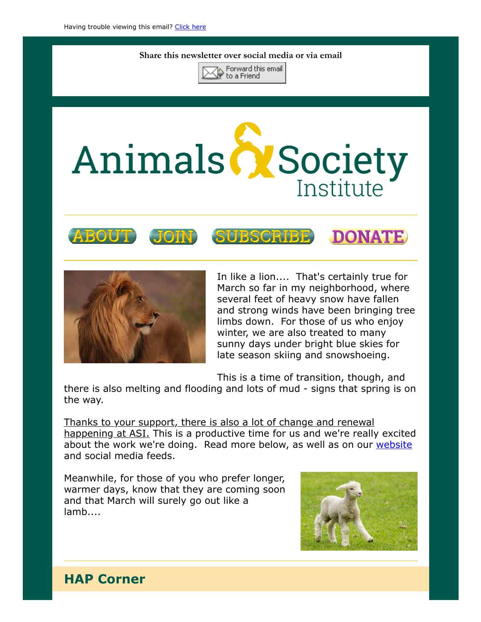#### Share this newsletter over social media or via email



# Animals & Society Institute









In like a lion.... That's certainly true for March so far in my neighborhood, where several feet of heavy snow have fallen and strong winds have been bringing tree limbs down. For those of us who enjoy winter, we are also treated to many sunny days under bright blue skies for late season skiing and snowshoeing.

This is a time of transition, though, and

there is also melting and flooding and lots of mud - signs that spring is on the way.

Thanks to your support, there is also a lot of change and renewal happening at ASI. This is a productive time for us and we're really excited about the work we're doing. Read more below, as well as on our [website](https://www.animalsandsociety.org/) and social media feeds.

Meanwhile, for those of you who prefer longer, warmer days, know that they are coming soon and that March will surely go out like a lamb....



### HAP Corner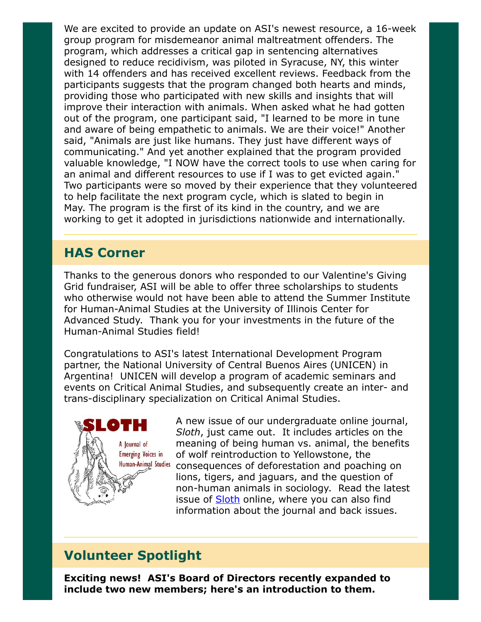We are excited to provide an update on ASI's newest resource, a 16-week group program for misdemeanor animal maltreatment offenders. The program, which addresses a critical gap in sentencing alternatives designed to reduce recidivism, was piloted in Syracuse, NY, this winter with 14 offenders and has received excellent reviews. Feedback from the participants suggests that the program changed both hearts and minds, providing those who participated with new skills and insights that will improve their interaction with animals. When asked what he had gotten out of the program, one participant said, "I learned to be more in tune and aware of being empathetic to animals. We are their voice!" Another said, "Animals are just like humans. They just have different ways of communicating." And yet another explained that the program provided valuable knowledge, "I NOW have the correct tools to use when caring for an animal and different resources to use if I was to get evicted again." Two participants were so moved by their experience that they volunteered to help facilitate the next program cycle, which is slated to begin in May. The program is the first of its kind in the country, and we are working to get it adopted in jurisdictions nationwide and internationally.

#### HAS Corner

Thanks to the generous donors who responded to our Valentine's Giving Grid fundraiser, ASI will be able to offer three scholarships to students who otherwise would not have been able to attend the Summer Institute for Human-Animal Studies at the University of Illinois Center for Advanced Study. Thank you for your investments in the future of the Human-Animal Studies field!

Congratulations to ASI's latest International Development Program partner, the National University of Central Buenos Aires (UNICEN) in Argentina! UNICEN will develop a program of academic seminars and events on Critical Animal Studies, and subsequently create an inter- and trans-disciplinary specialization on Critical Animal Studies.



A new issue of our undergraduate online journal, Sloth, just came out. It includes articles on the meaning of being human vs. animal, the benefits of wolf reintroduction to Yellowstone, the consequences of deforestation and poaching on lions, tigers, and jaguars, and the question of non-human animals in sociology. Read the latest issue of **Sloth** online, where you can also find information about the journal and back issues.

## Volunteer Spotlight

Exciting news! ASI's Board of Directors recently expanded to include two new members; here's an introduction to them.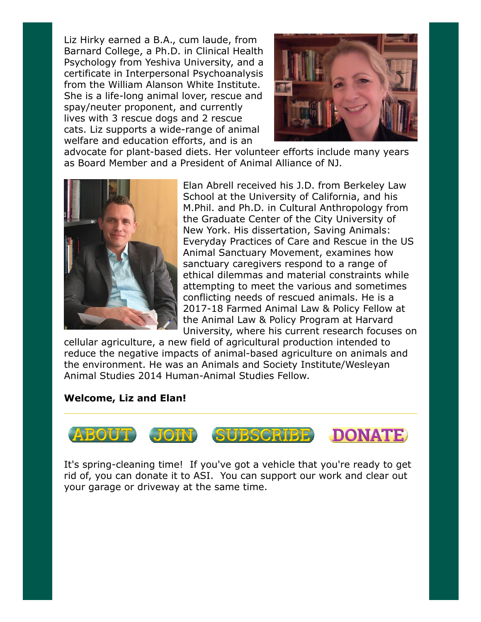Liz Hirky earned a B.A., cum laude, from Barnard College, a Ph.D. in Clinical Health Psychology from Yeshiva University, and a certificate in Interpersonal Psychoanalysis from the William Alanson White Institute. She is a life-long animal lover, rescue and spay/neuter proponent, and currently lives with 3 rescue dogs and 2 rescue cats. Liz supports a wide-range of animal welfare and education efforts, and is an



advocate for plant-based diets. Her volunteer efforts include many years as Board Member and a President of Animal Alliance of NJ.



Elan Abrell received his J.D. from Berkeley Law School at the University of California, and his M.Phil. and Ph.D. in Cultural Anthropology from the Graduate Center of the City University of New York. His dissertation, Saving Animals: Everyday Practices of Care and Rescue in the US Animal Sanctuary Movement, examines how sanctuary caregivers respond to a range of ethical dilemmas and material constraints while attempting to meet the various and sometimes conflicting needs of rescued animals. He is a 2017-18 Farmed Animal Law & Policy Fellow at the Animal Law & Policy Program at Harvard University, where his current research focuses on

cellular agriculture, a new field of agricultural production intended to reduce the negative impacts of animal-based agriculture on animals and the environment. He was an Animals and Society Institute/Wesleyan Animal Studies 2014 Human-Animal Studies Fellow.

#### Welcome, Liz and Elan!



It's spring-cleaning time! If you've got a vehicle that you're ready to get rid of, you can donate it to ASI. You can support our work and clear out your garage or driveway at the same time.